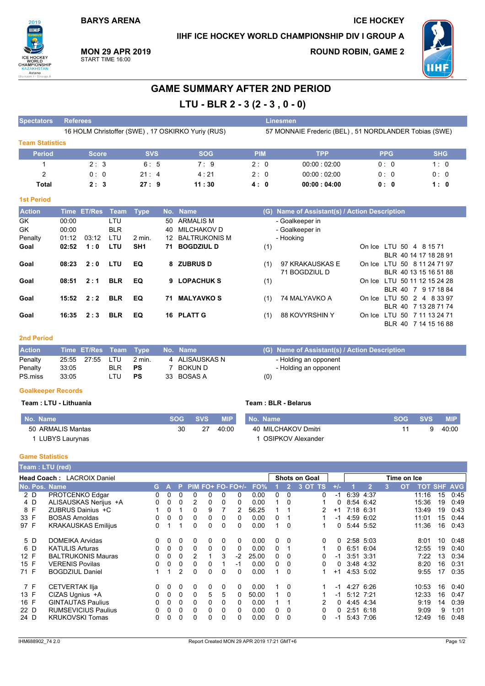**BARYS ARENA** 

IIHF ICE HOCKEY WORLD CHAMPIONSHIP DIV I GROUP A

and the company of the company

**MON 29 APR 2019** START TIME 16:00

**ROUND ROBIN, GAME 2** 

**ICE HOCKEY** 



# **GAME SUMMARY AFTER 2ND PERIOD**

# LTU - BLR 2 - 3 (2 - 3, 0 - 0)

| <b>Popeciators</b>     | Reigiges                                          |              |             | ешезшен                                               |             |             |            |  |  |  |  |  |  |
|------------------------|---------------------------------------------------|--------------|-------------|-------------------------------------------------------|-------------|-------------|------------|--|--|--|--|--|--|
|                        | 16 HOLM Christoffer (SWE), 17 OSKIRKO Yuriy (RUS) |              |             | 57 MONNAIE Frederic (BEL), 51 NORDLANDER Tobias (SWE) |             |             |            |  |  |  |  |  |  |
| <b>Team Statistics</b> |                                                   |              |             |                                                       |             |             |            |  |  |  |  |  |  |
| <b>Period</b>          | <b>Score</b>                                      | <b>SVS</b>   | <b>SOG</b>  | <b>PIM</b>                                            | <b>TPP</b>  | <b>PPG</b>  | <b>SHG</b> |  |  |  |  |  |  |
|                        | 2:3                                               | 6:5          | $7 \cdot 9$ | 2:0                                                   | 00:00:02:00 | 0:0         | 1:0        |  |  |  |  |  |  |
|                        | 0:0                                               | $21 \cdot 4$ | 4:21        | 2:0                                                   | 00:00:02:00 | $0 \cdot 0$ | 0:0        |  |  |  |  |  |  |
| Total                  | 2:3                                               | 27:9         | 11:30       | 4: 0                                                  | 00:00:04:00 | 0:0         | 1:0        |  |  |  |  |  |  |

### **1st Period**

| <b>Action</b> |       | Time ET/Res Team |            | <b>Type</b>       |    | No. Name          | (G) | Name of Assistant(s) / Action Description |                              |
|---------------|-------|------------------|------------|-------------------|----|-------------------|-----|-------------------------------------------|------------------------------|
| GK            | 00:00 |                  | LTU        |                   | 50 | ARMALIS M         |     | - Goalkeeper in                           |                              |
| <b>GK</b>     | 00:00 |                  | <b>BLR</b> |                   | 40 | MILCHAKOV D       |     | - Goalkeeper in                           |                              |
| Penalty       | 01:12 | 03:12            | LTU        | $2 \text{ min}$ . |    | 12 BALTRUKONIS M  |     | - Hooking                                 |                              |
| Goal          | 02:52 | 1:0              | <b>LTU</b> | SH <sub>1</sub>   |    | 71 BOGDZIUL D     | (1) |                                           | On Ice LTU 50 4 8 15 71      |
|               |       |                  |            |                   |    |                   |     |                                           | BLR 40 14 17 18 28 91        |
| Goal          | 08:23 | 2:0              | LTU        | EQ                |    | 8 ZUBRUS D        | (1) | 97 KRAKAUSKAS E                           | On Ice LTU 50 8 11 24 71 97  |
|               |       |                  |            |                   |    |                   |     | 71 BOGDZIUL D                             | BLR 40 13 15 16 51 88        |
| Goal          | 08:51 | 2:1              | <b>BLR</b> | EQ                |    | 9 LOPACHUK S      | (1) |                                           | On Ice LTU 50 11 12 15 24 28 |
|               |       |                  |            |                   |    |                   |     |                                           | BLR 40 7 9 17 18 84          |
| Goal          | 15:52 | 2:2              | <b>BLR</b> | EQ                | 71 | <b>MALYAVKO S</b> | (1) | 74 MALYAVKO A                             | On Ice LTU 50 2 4 8 33 97    |
|               |       |                  |            |                   |    |                   |     |                                           | BLR 40 7 13 28 71 74         |
| Goal          | 16:35 | 2:3              | <b>BLR</b> | EQ                |    | 16 PLATT G        | (1) | 88 KOVYRSHIN Y                            | On Ice LTU 50 7 11 13 24 71  |
|               |       |                  |            |                   |    |                   |     |                                           | BLR 40 7 14 15 16 88         |

#### **2nd Period**

| <b>Action</b> |       |             |               | Time ET/Res Team Type No. Name |                |     | (G) Name of Assistant(s) / Action Description |
|---------------|-------|-------------|---------------|--------------------------------|----------------|-----|-----------------------------------------------|
| Penalty       |       | 25:55 27:55 | L.TU          | 2 min.                         | 4 ALISAUSKAS N |     | - Holding an opponent                         |
| Penalty       | 33:05 |             | BLR <b>PS</b> |                                | BOKUN D        |     | - Holding an opponent                         |
| PS.miss       | 33.05 |             | LTU           | PS                             | 33 BOSAS A     | (0) |                                               |

#### **Goalkeeper Records**

#### Team : LTU - Lithuania

## Team: BLR - Belarus

| No. Name              | <b>SOG</b> | <b>SVS</b> | <b>MIP</b> | No. Name            | <b>SOG</b> | <b>SVS</b> | <b>MIP</b> |
|-----------------------|------------|------------|------------|---------------------|------------|------------|------------|
| 50 ARMALIS Mantas     | 30         | 27         | 40:00      | 40 MILCHAKOV Dmitri |            |            | 40:00      |
| <b>LUBYS Laurynas</b> |            |            |            | OSIPKOV Alexander   |            |            |            |

#### **Game Statistics**

| <b>Team : LTU (red)</b> |                                   |                            |    |          |    |          |          |   |                   |       |   |          |                      |       |             |                |   |                      |    |            |
|-------------------------|-----------------------------------|----------------------------|----|----------|----|----------|----------|---|-------------------|-------|---|----------|----------------------|-------|-------------|----------------|---|----------------------|----|------------|
|                         | <b>Head Coach: LACROIX Daniel</b> |                            |    |          |    |          |          |   |                   |       |   |          | <b>Shots on Goal</b> |       | Time on Ice |                |   |                      |    |            |
|                         |                                   | No. Pos. Name              |    | GA.      | P. |          |          |   | PIM FO+ FO- FO+/- | FO%   |   | 2        | 3 OT TS              | $+/-$ |             | $\overline{2}$ | 3 | TOT SHF<br><b>OT</b> |    | <b>AVG</b> |
|                         | 2 D                               | PROTCENKO Edgar            | 0  | 0        | 0  | $\Omega$ | 0        | 0 | $\Omega$          | 0.00  | 0 | $\Omega$ | 0                    | -1    |             | 6:39 4:37      |   | 11:16                | 15 | 0:45       |
|                         | 4 D                               | ALISAUSKAS Nerijus +A      | 0  | 0        | 0  | 2        | 0        | 0 | 0                 | 0.00  |   | 0        |                      | 0     |             | 8:54 6:42      |   | 15:36                | 19 | 0:49       |
| 8 F                     |                                   | ZUBRUS Dainius +C          |    | $\Omega$ |    | $\Omega$ | 9        |   | 2                 | 56.25 |   |          | 2                    | $+1$  |             | 7:18 6:31      |   | 13:49                | 19 | 0:43       |
| 33 F                    |                                   | <b>BOSAS Arnoldas</b>      | 0  | 0        | 0  | 0        | 0        | 0 | $\Omega$          | 0.00  | 0 |          |                      | -1    |             | 4:59 6:02      |   | 11:01                | 15 | 0:44       |
| 97 F                    |                                   | <b>KRAKAUSKAS Emilijus</b> | 0  |          |    | 0        | 0        | 0 | $\Omega$          | 0.00  | 1 | $\Omega$ |                      | 0     |             | 5:44 5:52      |   | 11:36                | 16 | 0:43       |
|                         | 5 D                               | <b>DOMEIKA Arvidas</b>     | 0. | $\Omega$ | 0  | 0        | 0        | 0 | $\Omega$          | 0.00  | 0 | 0        | 0                    | 0     |             | 2:58 5:03      |   | 8:01                 | 10 | 0:48       |
| 6 D                     |                                   | <b>KATULIS Arturas</b>     | 0  | $\Omega$ | 0  | $\Omega$ | $\Omega$ | 0 | $\Omega$          | 0.00  | 0 |          |                      | 0     | 6:51        | 6:04           |   | 12:55                | 19 | 0:40       |
| 12 F                    |                                   | <b>BALTRUKONIS Mauras</b>  | 0  | 0        | 0  | 2        |          | 3 | $-2$              | 25.00 | 0 | $\Omega$ |                      | -1    | 3:51        | 3:31           |   | 7:22                 | 13 | 0:34       |
| 15 F                    |                                   | <b>VERENIS Povilas</b>     | 0  | 0        | 0  | 0        | 0        |   | $-1$              | 0.00  | 0 | 0        | 0                    | 0     |             | 3:48 4:32      |   | 8:20                 | 16 | 0:31       |
| 71 F                    |                                   | <b>BOGDZIUL Daniel</b>     |    | 1        | 2  | 0        | 0        | 0 | $\Omega$          | 0.00  | 1 | 0        |                      | $+1$  |             | 4:53 5:02      |   | 9:55                 | 17 | 0:35       |
| 7 F                     |                                   | <b>CETVERTAK IIja</b>      | 0  | 0        | 0  | 0        | 0        | 0 | $\Omega$          | 0.00  | 1 | 0        |                      | -1    |             | 4:27 6:26      |   | 10:53                | 16 | 0:40       |
| 13 F                    |                                   | CIZAS Ugnius +A            | 0  | 0        | 0  | 0        | 5        | 5 | 0                 | 50.00 | 1 | $\Omega$ |                      | -1    |             | 5:12 7:21      |   | 12:33                | 16 | 0:47       |
| 16 F                    |                                   | <b>GINTAUTAS Paulius</b>   | 0  | 0        | 0  | 0        | 0        | 0 | $\Omega$          | 0.00  |   |          | 2                    | 0     |             | 4:45 4:34      |   | 9:19                 | 14 | 0:39       |
| 22 D                    |                                   | <b>RUMSEVICIUS Paulius</b> | 0  | 0        | 0  | 0        | 0        | 0 | $\Omega$          | 0.00  | 0 | 0        |                      | 0     |             | 2:51 6:18      |   | 9:09                 | 9  | 1:01       |
| 24 D                    |                                   | <b>KRUKOVSKI Tomas</b>     |    | 0        | 0  | 0        |          | 0 | $\Omega$          | 0.00  | 0 | 0        |                      | -1    |             | 5:43 7:06      |   | 12:49                | 16 | 0:48       |